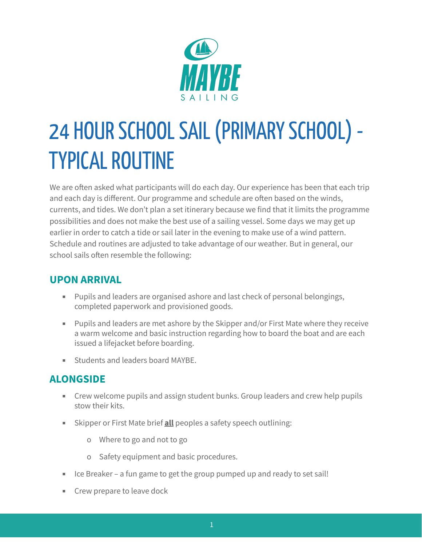

# 24 HOUR SCHOOL SAIL (PRIMARY SCHOOL) -**TYPICAL ROUTINE**

We are often asked what participants will do each day. Our experience has been that each trip and each day is different. Our programme and schedule are often based on the winds, currents, and tides. We don't plan a set itinerary because we find that it limits the programme possibilities and does not make the best use of a sailing vessel. Some days we may get up earlier in order to catch a tide or sail later in the evening to make use of a wind pattern. Schedule and routines are adjusted to take advantage of our weather. But in general, our school sails often resemble the following:

## **UPON ARRIVAL**

- Pupils and leaders are organised ashore and last check of personal belongings, completed paperwork and provisioned goods.
- Pupils and leaders are met ashore by the Skipper and/or First Mate where they receive a warm welcome and basic instruction regarding how to board the boat and are each issued a lifejacket before boarding.
- Students and leaders board MAYBE.

## **ALONGSIDE**

- **EXP** Crew welcome pupils and assign student bunks. Group leaders and crew help pupils stow their kits.
- **EXA** Skipper or First Mate brief **all** peoples a safety speech outlining:
	- o Where to go and not to go
	- o Safety equipment and basic procedures.
- Ice Breaker a fun game to get the group pumped up and ready to set sail!
- Crew prepare to leave dock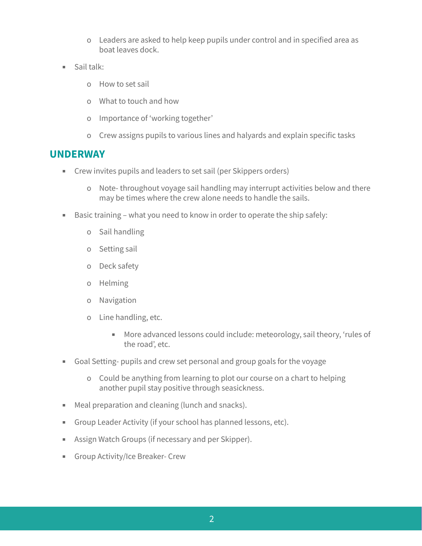- o Leaders are asked to help keep pupils under control and in specified area as boat leaves dock.
- Sail talk:
	- o How to set sail
	- o What to touch and how
	- o Importance of 'working together'
	- o Crew assigns pupils to various lines and halyards and explain specific tasks

### **UNDERWAY**

- Crew invites pupils and leaders to set sail (per Skippers orders)
	- o Note- throughout voyage sail handling may interrupt activities below and there may be times where the crew alone needs to handle the sails.
- Basic training what you need to know in order to operate the ship safely:
	- o Sail handling
	- o Setting sail
	- o Deck safety
	- o Helming
	- o Navigation
	- o Line handling, etc.
		- More advanced lessons could include: meteorology, sail theory, 'rules of the road', etc.
- Goal Setting- pupils and crew set personal and group goals for the voyage
	- o Could be anything from learning to plot our course on a chart to helping another pupil stay positive through seasickness.
- Meal preparation and cleaning (lunch and snacks).
- **EXECT** Group Leader Activity (if your school has planned lessons, etc).
- Assign Watch Groups (if necessary and per Skipper).
- **EXECT:** Group Activity/Ice Breaker- Crew